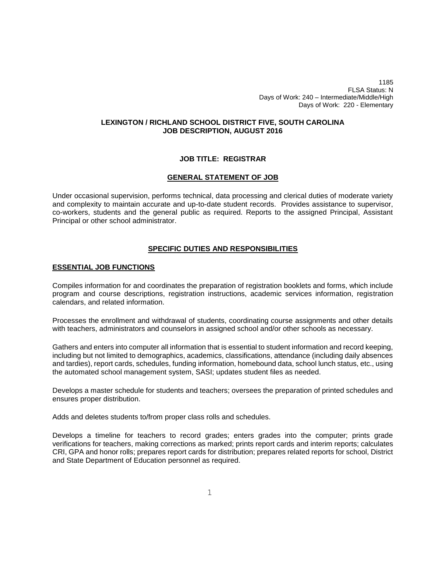1185 FLSA Status: N Days of Work: 240 – Intermediate/Middle/High Days of Work: 220 - Elementary

# **LEXINGTON / RICHLAND SCHOOL DISTRICT FIVE, SOUTH CAROLINA JOB DESCRIPTION, AUGUST 2016**

## **JOB TITLE: REGISTRAR**

## **GENERAL STATEMENT OF JOB**

Under occasional supervision, performs technical, data processing and clerical duties of moderate variety and complexity to maintain accurate and up-to-date student records. Provides assistance to supervisor, co-workers, students and the general public as required. Reports to the assigned Principal, Assistant Principal or other school administrator.

## **SPECIFIC DUTIES AND RESPONSIBILITIES**

## **ESSENTIAL JOB FUNCTIONS**

Compiles information for and coordinates the preparation of registration booklets and forms, which include program and course descriptions, registration instructions, academic services information, registration calendars, and related information.

Processes the enrollment and withdrawal of students, coordinating course assignments and other details with teachers, administrators and counselors in assigned school and/or other schools as necessary.

Gathers and enters into computer all information that is essential to student information and record keeping, including but not limited to demographics, academics, classifications, attendance (including daily absences and tardies), report cards, schedules, funding information, homebound data, school lunch status, etc., using the automated school management system, SASI; updates student files as needed.

Develops a master schedule for students and teachers; oversees the preparation of printed schedules and ensures proper distribution.

Adds and deletes students to/from proper class rolls and schedules.

Develops a timeline for teachers to record grades; enters grades into the computer; prints grade verifications for teachers, making corrections as marked; prints report cards and interim reports; calculates CRI, GPA and honor rolls; prepares report cards for distribution; prepares related reports for school, District and State Department of Education personnel as required.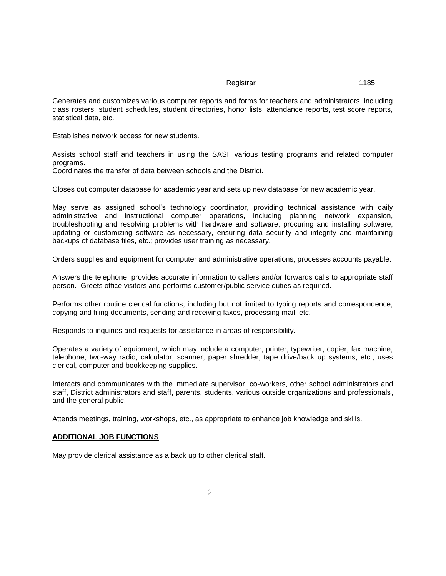Generates and customizes various computer reports and forms for teachers and administrators, including class rosters, student schedules, student directories, honor lists, attendance reports, test score reports, statistical data, etc.

Establishes network access for new students.

Assists school staff and teachers in using the SASI, various testing programs and related computer programs.

Coordinates the transfer of data between schools and the District.

Closes out computer database for academic year and sets up new database for new academic year.

May serve as assigned school's technology coordinator, providing technical assistance with daily administrative and instructional computer operations, including planning network expansion, troubleshooting and resolving problems with hardware and software, procuring and installing software, updating or customizing software as necessary, ensuring data security and integrity and maintaining backups of database files, etc.; provides user training as necessary.

Orders supplies and equipment for computer and administrative operations; processes accounts payable.

Answers the telephone; provides accurate information to callers and/or forwards calls to appropriate staff person. Greets office visitors and performs customer/public service duties as required.

Performs other routine clerical functions, including but not limited to typing reports and correspondence, copying and filing documents, sending and receiving faxes, processing mail, etc.

Responds to inquiries and requests for assistance in areas of responsibility.

Operates a variety of equipment, which may include a computer, printer, typewriter, copier, fax machine, telephone, two-way radio, calculator, scanner, paper shredder, tape drive/back up systems, etc.; uses clerical, computer and bookkeeping supplies.

Interacts and communicates with the immediate supervisor, co-workers, other school administrators and staff, District administrators and staff, parents, students, various outside organizations and professionals, and the general public.

Attends meetings, training, workshops, etc., as appropriate to enhance job knowledge and skills.

#### **ADDITIONAL JOB FUNCTIONS**

May provide clerical assistance as a back up to other clerical staff.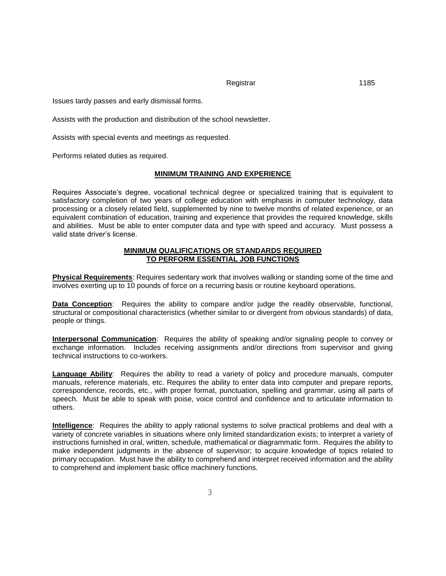Issues tardy passes and early dismissal forms.

Assists with the production and distribution of the school newsletter.

Assists with special events and meetings as requested.

Performs related duties as required.

#### **MINIMUM TRAINING AND EXPERIENCE**

Requires Associate's degree, vocational technical degree or specialized training that is equivalent to satisfactory completion of two years of college education with emphasis in computer technology, data processing or a closely related field, supplemented by nine to twelve months of related experience, or an equivalent combination of education, training and experience that provides the required knowledge, skills and abilities. Must be able to enter computer data and type with speed and accuracy. Must possess a valid state driver's license.

## **MINIMUM QUALIFICATIONS OR STANDARDS REQUIRED TO PERFORM ESSENTIAL JOB FUNCTIONS**

**Physical Requirements**: Requires sedentary work that involves walking or standing some of the time and involves exerting up to 10 pounds of force on a recurring basis or routine keyboard operations.

**Data Conception**: Requires the ability to compare and/or judge the readily observable, functional, structural or compositional characteristics (whether similar to or divergent from obvious standards) of data, people or things.

**Interpersonal Communication**: Requires the ability of speaking and/or signaling people to convey or exchange information. Includes receiving assignments and/or directions from supervisor and giving technical instructions to co-workers.

**Language Ability**: Requires the ability to read a variety of policy and procedure manuals, computer manuals, reference materials, etc. Requires the ability to enter data into computer and prepare reports, correspondence, records, etc., with proper format, punctuation, spelling and grammar, using all parts of speech. Must be able to speak with poise, voice control and confidence and to articulate information to others.

**Intelligence**: Requires the ability to apply rational systems to solve practical problems and deal with a variety of concrete variables in situations where only limited standardization exists; to interpret a variety of instructions furnished in oral, written, schedule, mathematical or diagrammatic form. Requires the ability to make independent judgments in the absence of supervisor; to acquire knowledge of topics related to primary occupation. Must have the ability to comprehend and interpret received information and the ability to comprehend and implement basic office machinery functions.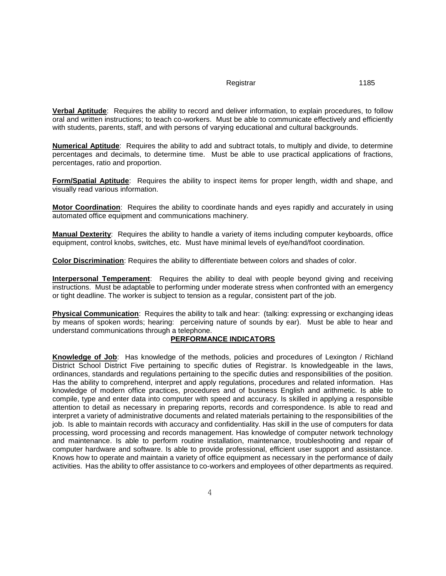**Verbal Aptitude**: Requires the ability to record and deliver information, to explain procedures, to follow oral and written instructions; to teach co-workers. Must be able to communicate effectively and efficiently with students, parents, staff, and with persons of varying educational and cultural backgrounds.

**Numerical Aptitude**: Requires the ability to add and subtract totals, to multiply and divide, to determine percentages and decimals, to determine time. Must be able to use practical applications of fractions, percentages, ratio and proportion.

**Form/Spatial Aptitude**: Requires the ability to inspect items for proper length, width and shape, and visually read various information.

**Motor Coordination**: Requires the ability to coordinate hands and eyes rapidly and accurately in using automated office equipment and communications machinery.

**Manual Dexterity**: Requires the ability to handle a variety of items including computer keyboards, office equipment, control knobs, switches, etc. Must have minimal levels of eye/hand/foot coordination.

**Color Discrimination**: Requires the ability to differentiate between colors and shades of color.

**Interpersonal Temperament**: Requires the ability to deal with people beyond giving and receiving instructions. Must be adaptable to performing under moderate stress when confronted with an emergency or tight deadline. The worker is subject to tension as a regular, consistent part of the job.

**Physical Communication**: Requires the ability to talk and hear: (talking: expressing or exchanging ideas by means of spoken words; hearing: perceiving nature of sounds by ear). Must be able to hear and understand communications through a telephone.

#### **PERFORMANCE INDICATORS**

**Knowledge of Job**: Has knowledge of the methods, policies and procedures of Lexington / Richland District School District Five pertaining to specific duties of Registrar. Is knowledgeable in the laws, ordinances, standards and regulations pertaining to the specific duties and responsibilities of the position. Has the ability to comprehend, interpret and apply regulations, procedures and related information. Has knowledge of modern office practices, procedures and of business English and arithmetic. Is able to compile, type and enter data into computer with speed and accuracy. Is skilled in applying a responsible attention to detail as necessary in preparing reports, records and correspondence. Is able to read and interpret a variety of administrative documents and related materials pertaining to the responsibilities of the job. Is able to maintain records with accuracy and confidentiality. Has skill in the use of computers for data processing, word processing and records management. Has knowledge of computer network technology and maintenance. Is able to perform routine installation, maintenance, troubleshooting and repair of computer hardware and software. Is able to provide professional, efficient user support and assistance. Knows how to operate and maintain a variety of office equipment as necessary in the performance of daily activities. Has the ability to offer assistance to co-workers and employees of other departments as required.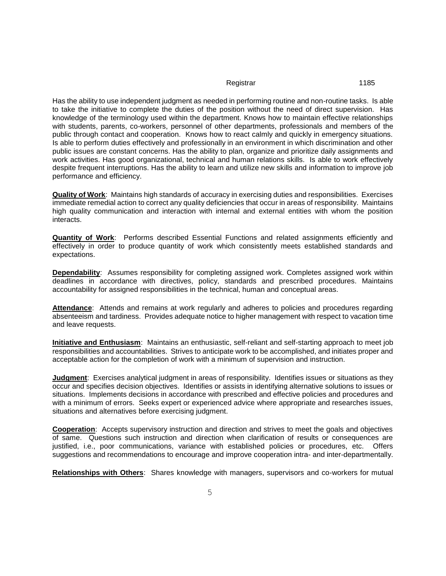Has the ability to use independent judgment as needed in performing routine and non-routine tasks. Is able to take the initiative to complete the duties of the position without the need of direct supervision. Has knowledge of the terminology used within the department. Knows how to maintain effective relationships with students, parents, co-workers, personnel of other departments, professionals and members of the public through contact and cooperation. Knows how to react calmly and quickly in emergency situations. Is able to perform duties effectively and professionally in an environment in which discrimination and other public issues are constant concerns. Has the ability to plan, organize and prioritize daily assignments and work activities. Has good organizational, technical and human relations skills. Is able to work effectively despite frequent interruptions. Has the ability to learn and utilize new skills and information to improve job performance and efficiency.

**Quality of Work**: Maintains high standards of accuracy in exercising duties and responsibilities. Exercises immediate remedial action to correct any quality deficiencies that occur in areas of responsibility. Maintains high quality communication and interaction with internal and external entities with whom the position interacts.

**Quantity of Work**: Performs described Essential Functions and related assignments efficiently and effectively in order to produce quantity of work which consistently meets established standards and expectations.

**Dependability**: Assumes responsibility for completing assigned work. Completes assigned work within deadlines in accordance with directives, policy, standards and prescribed procedures. Maintains accountability for assigned responsibilities in the technical, human and conceptual areas.

Attendance: Attends and remains at work regularly and adheres to policies and procedures regarding absenteeism and tardiness. Provides adequate notice to higher management with respect to vacation time and leave requests.

**Initiative and Enthusiasm**: Maintains an enthusiastic, self-reliant and self-starting approach to meet job responsibilities and accountabilities. Strives to anticipate work to be accomplished, and initiates proper and acceptable action for the completion of work with a minimum of supervision and instruction.

**Judgment**: Exercises analytical judgment in areas of responsibility. Identifies issues or situations as they occur and specifies decision objectives. Identifies or assists in identifying alternative solutions to issues or situations. Implements decisions in accordance with prescribed and effective policies and procedures and with a minimum of errors. Seeks expert or experienced advice where appropriate and researches issues, situations and alternatives before exercising judgment.

**Cooperation**: Accepts supervisory instruction and direction and strives to meet the goals and objectives of same. Questions such instruction and direction when clarification of results or consequences are justified, i.e., poor communications, variance with established policies or procedures, etc. Offers suggestions and recommendations to encourage and improve cooperation intra- and inter-departmentally.

**Relationships with Others**: Shares knowledge with managers, supervisors and co-workers for mutual